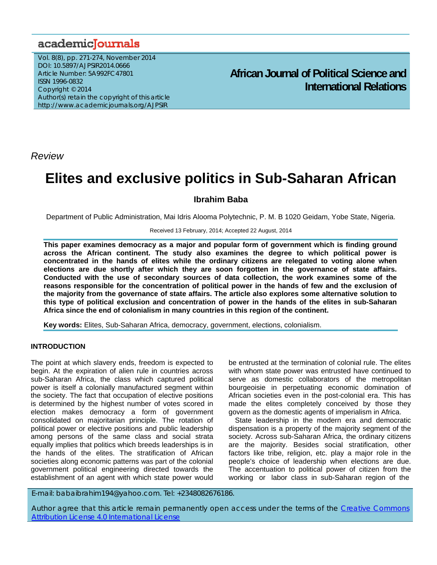## academicJournals

Vol. 8(8), pp. 271-274, November 2014 DOI: 10.5897/AJPSIR2014.0666 Article Number: 5A992FC47801 ISSN 1996-0832 Copyright © 2014 Author(s) retain the copyright of this article http://www.academicjournals.org/AJPSIR

**African Journal of Political Science and International Relations**

*Review*

# **Elites and exclusive politics in Sub-Saharan African**

### **Ibrahim Baba**

Department of Public Administration, Mai Idris Alooma Polytechnic, P. M. B 1020 Geidam, Yobe State, Nigeria.

#### Received 13 February, 2014; Accepted 22 August, 2014

**This paper examines democracy as a major and popular form of government which is finding ground across the African continent. The study also examines the degree to which political power is concentrated in the hands of elites while the ordinary citizens are relegated to voting alone when elections are due shortly after which they are soon forgotten in the governance of state affairs. Conducted with the use of secondary sources of data collection, the work examines some of the reasons responsible for the concentration of political power in the hands of few and the exclusion of the majority from the governance of state affairs. The article also explores some alternative solution to this type of political exclusion and concentration of power in the hands of the elites in sub-Saharan Africa since the end of colonialism in many countries in this region of the continent.** 

**Key words:** Elites, Sub-Saharan Africa, democracy, government, elections, colonialism.

#### **INTRODUCTION**

The point at which slavery ends, freedom is expected to begin. At the expiration of alien rule in countries across sub-Saharan Africa, the class which captured political power is itself a colonially manufactured segment within the society. The fact that occupation of elective positions is determined by the highest number of votes scored in election makes democracy a form of government consolidated on majoritarian principle. The rotation of political power or elective positions and public leadership among persons of the same class and social strata equally implies that politics which breeds leaderships is in the hands of the elites. The stratification of African societies along economic patterns was part of the colonial government political engineering directed towards the establishment of an agent with which state power would be entrusted at the termination of colonial rule. The elites with whom state power was entrusted have continued to serve as domestic collaborators of the metropolitan bourgeoisie in perpetuating economic domination of African societies even in the post-colonial era. This has made the elites completely conceived by those they govern as the domestic agents of imperialism in Africa.

State leadership in the modern era and democratic dispensation is a property of the majority segment of the society. Across sub-Saharan Africa, the ordinary citizens are the majority. Besides social stratification, other factors like tribe, religion, etc. play a major role in the people's choice of leadership when elections are due. The accentuation to political power of citizen from the working or labor class in sub-Saharan region of the

E-mail: babaibrahim194@yahoo.com. Tel: +2348082676186.

Author agree that this article remain permanently open access under the terms of the Creative Commons Attribution License 4.0 International License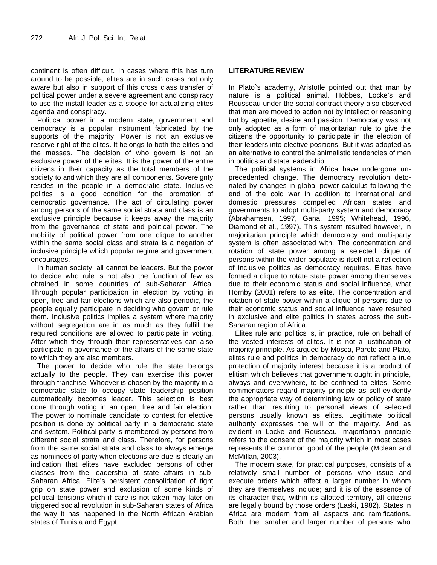continent is often difficult. In cases where this has turn around to be possible, elites are in such cases not only aware but also in support of this cross class transfer of political power under a severe agreement and conspiracy to use the install leader as a stooge for actualizing elites agenda and conspiracy.

Political power in a modern state, government and democracy is a popular instrument fabricated by the supports of the majority. Power is not an exclusive reserve right of the elites. It belongs to both the elites and the masses. The decision of who govern is not an exclusive power of the elites. It is the power of the entire citizens in their capacity as the total members of the society to and which they are all components. Sovereignty resides in the people in a democratic state. Inclusive politics is a good condition for the promotion of democratic governance. The act of circulating power among persons of the same social strata and class is an exclusive principle because it keeps away the majority from the governance of state and political power. The mobility of political power from one clique to another within the same social class and strata is a negation of inclusive principle which popular regime and government encourages.

In human society, all cannot be leaders. But the power to decide who rule is not also the function of few as obtained in some countries of sub-Saharan Africa. Through popular participation in election by voting in open, free and fair elections which are also periodic, the people equally participate in deciding who govern or rule them. Inclusive politics implies a system where majority without segregation are in as much as they fulfill the required conditions are allowed to participate in voting. After which they through their representatives can also participate in governance of the affairs of the same state to which they are also members.

The power to decide who rule the state belongs actually to the people. They can exercise this power through franchise. Whoever is chosen by the majority in a democratic state to occupy state leadership position automatically becomes leader. This selection is best done through voting in an open, free and fair election. The power to nominate candidate to contest for elective position is done by political party in a democratic state and system. Political party is membered by persons from different social strata and class. Therefore, for persons from the same social strata and class to always emerge as nominees of party when elections are due is clearly an indication that elites have excluded persons of other classes from the leadership of state affairs in sub-Saharan Africa. Elite's persistent consolidation of tight grip on state power and exclusion of some kinds of political tensions which if care is not taken may later on triggered social revolution in sub-Saharan states of Africa the way it has happened in the North African Arabian states of Tunisia and Egypt.

#### **LITERATURE REVIEW**

In Plato`s academy, Aristotle pointed out that man by nature is a political animal. Hobbes, Locke's and Rousseau under the social contract theory also observed that men are moved to action not by intellect or reasoning but by appetite, desire and passion. Democracy was not only adopted as a form of majoritarian rule to give the citizens the opportunity to participate in the election of their leaders into elective positions. But it was adopted as an alternative to control the animalistic tendencies of men in politics and state leadership.

The political systems in Africa have undergone unprecedented change. The democracy revolution detonated by changes in global power calculus following the end of the cold war in addition to international and domestic pressures compelled African states and governments to adopt multi-party system and democracy (Abrahamsen, 1997, Gana, 1995; Whitehead, 1996, Diamond et al., 1997). This system resulted however, in majoritarian principle which democracy and multi-party system is often associated with. The concentration and rotation of state power among a selected clique of persons within the wider populace is itself not a reflection of inclusive politics as democracy requires. Elites have formed a clique to rotate state power among themselves due to their economic status and social influence, what Hornby (2001) refers to as elite. The concentration and rotation of state power within a clique of persons due to their economic status and social influence have resulted in exclusive and elite politics in states across the sub-Saharan region of Africa.

Elites rule and politics is, in practice, rule on behalf of the vested interests of elites. It is not a justification of majority principle. As argued by Mosca, Pareto and Plato, elites rule and politics in democracy do not reflect a true protection of majority interest because it is a product of elitism which believes that government ought in principle, always and everywhere, to be confined to elites. Some commentators regard majority principle as self-evidently the appropriate way of determining law or policy of state rather than resulting to personal views of selected persons usually known as elites. Legitimate political authority expresses the will of the majority. And as evident in Locke and Rousseau, majoritarian principle refers to the consent of the majority which in most cases represents the common good of the people (Mclean and McMillan, 2003).

The modern state, for practical purposes, consists of a relatively small number of persons who issue and execute orders which affect a larger number in whom they are themselves include; and it is of the essence of its character that, within its allotted territory, all citizens are legally bound by those orders (Laski, 1982). States in Africa are modern from all aspects and ramifications. Both the smaller and larger number of persons who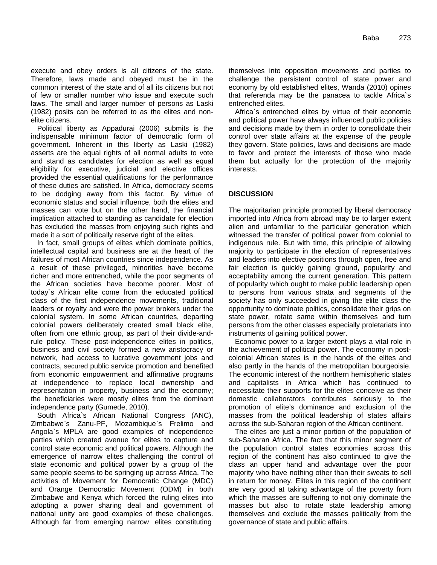execute and obey orders is all citizens of the state. Therefore, laws made and obeyed must be in the common interest of the state and of all its citizens but not of few or smaller number who issue and execute such laws. The small and larger number of persons as Laski (1982) posits can be referred to as the elites and nonelite citizens.

Political liberty as Appadurai (2006) submits is the indispensable minimum factor of democratic form of government. Inherent in this liberty as Laski (1982) asserts are the equal rights of all normal adults to vote and stand as candidates for election as well as equal eligibility for executive, judicial and elective offices provided the essential qualifications for the performance of these duties are satisfied. In Africa, democracy seems to be dodging away from this factor. By virtue of economic status and social influence, both the elites and masses can vote but on the other hand, the financial implication attached to standing as candidate for election has excluded the masses from enjoying such rights and made it a sort of politically reserve right of the elites.

In fact, small groups of elites which dominate politics, intellectual capital and business are at the heart of the failures of most African countries since independence. As a result of these privileged, minorities have become richer and more entrenched, while the poor segments of the African societies have become poorer. Most of today`s African elite come from the educated political class of the first independence movements, traditional leaders or royalty and were the power brokers under the colonial system. In some African countries, departing colonial powers deliberately created small black elite, often from one ethnic group, as part of their divide-andrule policy. These post-independence elites in politics, business and civil society formed a new aristocracy or network, had access to lucrative government jobs and contracts, secured public service promotion and benefited from economic empowerment and affirmative programs at independence to replace local ownership and representation in property, business and the economy; the beneficiaries were mostly elites from the dominant independence party (Gumede, 2010).

South Africa`s African National Congress (ANC), Zimbabwe`s Zanu-PF, Mozambique`s Frelimo and Angola`s MPLA are good examples of independence parties which created avenue for elites to capture and control state economic and political powers. Although the emergence of narrow elites challenging the control of state economic and political power by a group of the same people seems to be springing up across Africa. The activities of Movement for Democratic Change (MDC) and Orange Democratic Movement (ODM) in both Zimbabwe and Kenya which forced the ruling elites into adopting a power sharing deal and government of national unity are good examples of these challenges. Although far from emerging narrow elites constituting

themselves into opposition movements and parties to challenge the persistent control of state power and economy by old established elites, Wanda (2010) opines that referenda may be the panacea to tackle Africa`s entrenched elites.

Africa`s entrenched elites by virtue of their economic and political power have always influenced public policies and decisions made by them in order to consolidate their control over state affairs at the expense of the people they govern. State policies, laws and decisions are made to favor and protect the interests of those who made them but actually for the protection of the majority interests.

#### **DISCUSSION**

The majoritarian principle promoted by liberal democracy imported into Africa from abroad may be to larger extent alien and unfamiliar to the particular generation which witnessed the transfer of political power from colonial to indigenous rule. But with time, this principle of allowing majority to participate in the election of representatives and leaders into elective positions through open, free and fair election is quickly gaining ground, popularity and acceptability among the current generation. This pattern of popularity which ought to make public leadership open to persons from various strata and segments of the society has only succeeded in giving the elite class the opportunity to dominate politics, consolidate their grips on state power, rotate same within themselves and turn persons from the other classes especially proletariats into instruments of gaining political power.

Economic power to a larger extent plays a vital role in the achievement of political power. The economy in postcolonial African states is in the hands of the elites and also partly in the hands of the metropolitan bourgeoisie. The economic interest of the northern hemispheric states and capitalists in Africa which has continued to necessitate their supports for the elites conceive as their domestic collaborators contributes seriously to the promotion of elite's dominance and exclusion of the masses from the political leadership of states affairs across the sub-Saharan region of the African continent.

The elites are just a minor portion of the population of sub-Saharan Africa. The fact that this minor segment of the population control states economies across this region of the continent has also continued to give the class an upper hand and advantage over the poor majority who have nothing other than their sweats to sell in return for money. Elites in this region of the continent are very good at taking advantage of the poverty from which the masses are suffering to not only dominate the masses but also to rotate state leadership among themselves and exclude the masses politically from the governance of state and public affairs.